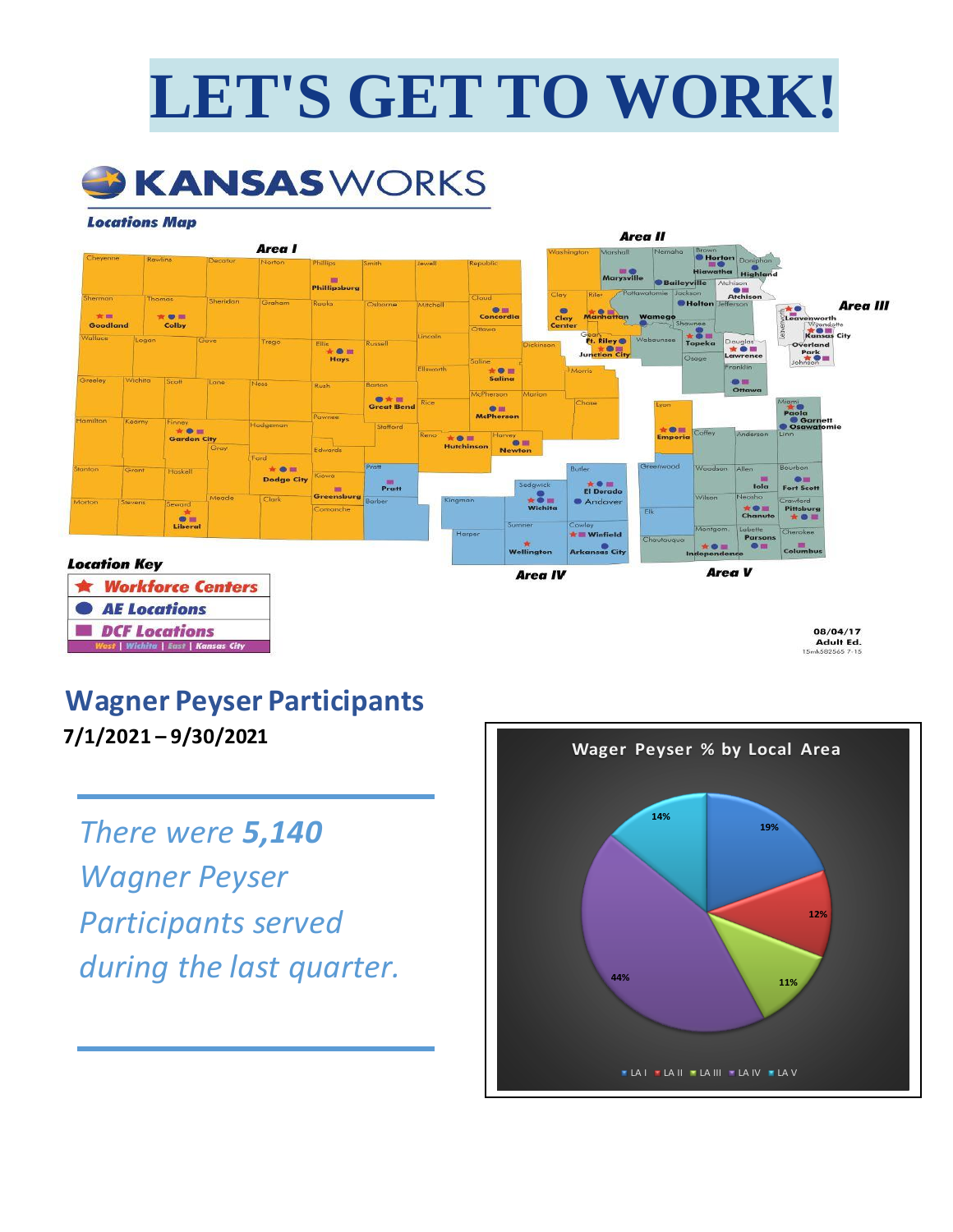# **LET'S GET TO WORK!**



#### **Locations Map**



## **Wagner Peyser Participants**

**7/1/2021 – 9/30/2021**

*There were 5,140 Wagner Peyser Participants served during the last quarter.*

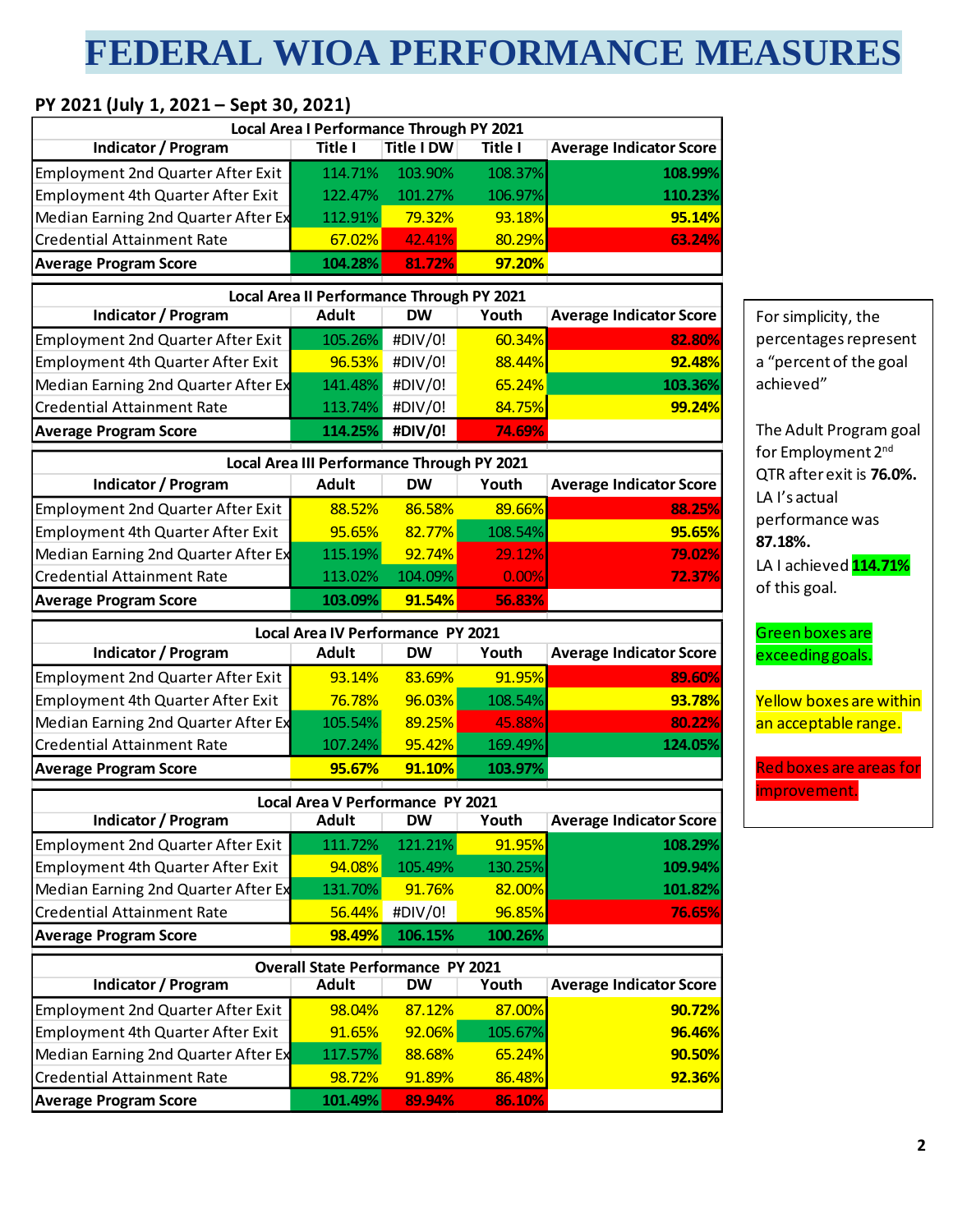# **FEDERAL WIOA PERFORMANCE MEASURES**

### **PY 2021 (July 1, 2021 – Sept 30, 2021)**

| Indicator / Program                      | Local Area I Performance Through PY 2021<br>Title I | <b>Title I DW</b> | Title I | <b>Average Indicator Score</b> |
|------------------------------------------|-----------------------------------------------------|-------------------|---------|--------------------------------|
| <b>Employment 2nd Quarter After Exit</b> | 114.71%                                             | 103.90%           | 108.37% | 108.99%                        |
| Employment 4th Quarter After Exit        | 122.47%                                             | 101.27%           | 106.97% | 110.23%                        |
| Median Earning 2nd Quarter After Ex      | 112.91%                                             | 79.32%            | 93.18%  | 95.14%                         |
| <b>Credential Attainment Rate</b>        | 67.02%                                              | 42.41%            | 80.29%  | 63.24%                         |
| <b>Average Program Score</b>             | 104.28%                                             | 81.72%            | 97.20%  |                                |
|                                          | Local Area II Performance Through PY 2021           |                   |         |                                |
| <b>Indicator / Program</b>               | <b>Adult</b>                                        | <b>DW</b>         | Youth   | <b>Average Indicator Score</b> |
| <b>Employment 2nd Quarter After Exit</b> | 105.26%                                             | #DIV/0!           | 60.34%  | 82.80%                         |
| Employment 4th Quarter After Exit        | 96.53%                                              | #DIV/0!           | 88.44%  | 92.48%                         |
| Median Earning 2nd Quarter After Ex      | 141.48%                                             | #DIV/0!           | 65.24%  | 103.36%                        |
| <b>Credential Attainment Rate</b>        | 113.74%                                             | #DIV/0!           | 84.75%  | 99.24%                         |
| <b>Average Program Score</b>             | 114.25%                                             | #DIV/0!           | 74.69%  |                                |
|                                          | Local Area III Performance Through PY 2021          |                   |         |                                |
| Indicator / Program                      | <b>Adult</b>                                        | <b>DW</b>         | Youth   | <b>Average Indicator Score</b> |
| <b>Employment 2nd Quarter After Exit</b> | 88.52%                                              | 86.58%            | 89.66%  | 88.25%                         |
| Employment 4th Quarter After Exit        | 95.65%                                              | 82.77%            | 108.54% | 95.65%                         |
| Median Earning 2nd Quarter After Ex      | 115.19%                                             | 92.74%            | 29.12%  | 79.02%                         |
| <b>Credential Attainment Rate</b>        | 113.02%                                             | 104.09%           | 0.00%   | 72.37%                         |
| <b>Average Program Score</b>             | 103.09%                                             | 91.54%            | 56.83%  |                                |
|                                          |                                                     |                   |         |                                |
|                                          | Local Area IV Performance PY 2021                   |                   |         |                                |
| Indicator / Program                      | <b>Adult</b>                                        | <b>DW</b>         | Youth   | <b>Average Indicator Score</b> |
| <b>Employment 2nd Quarter After Exit</b> | 93.14%                                              | 83.69%            | 91.95%  | 89.60%                         |
| Employment 4th Quarter After Exit        | 76.78%                                              | 96.03%            | 108.54% | 93.78%                         |
| Median Earning 2nd Quarter After Ex      | 105.54%                                             | 89.25%            | 45.88%  | 80.22%                         |
| <b>Credential Attainment Rate</b>        | 107.24%                                             | 95.42%            | 169.49% | 124.05%                        |
| <b>Average Program Score</b>             | 95.67%                                              | 91.10%            | 103.97% |                                |
|                                          | <b>Local Area V Performance PY 2021</b>             |                   |         |                                |
| Indicator / Program                      | <b>Adult</b>                                        | DW                | Youth   | <b>Average Indicator Score</b> |
| <b>Employment 2nd Quarter After Exit</b> | 111.72%                                             | 121.21%           | 91.95%  | 108.29%                        |
| Employment 4th Quarter After Exit        | 94.08%                                              | 105.49%           | 130.25% | 109.94%                        |
| Median Earning 2nd Quarter After Ex      | 131.70%                                             | 91.76%            | 82.00%  | 101.82%                        |
| <b>Credential Attainment Rate</b>        | 56.44%                                              | #DIV/0!           | 96.85%  | 76.65%                         |
| <b>Average Program Score</b>             | 98.49%                                              | 106.15%           | 100.26% |                                |
|                                          | <b>Overall State Performance PY 2021</b>            |                   |         |                                |
| <b>Indicator / Program</b>               | <b>Adult</b>                                        | <b>DW</b>         | Youth   | <b>Average Indicator Score</b> |
| <b>Employment 2nd Quarter After Exit</b> | 98.04%                                              | 87.12%            | 87.00%  | 90.72%                         |
| Employment 4th Quarter After Exit        | 91.65%                                              | 92.06%            | 105.67% | 96.46%                         |
| Median Earning 2nd Quarter After Ex      | 117.57%                                             | 88.68%            | 65.24%  | 90.50%                         |
| <b>Credential Attainment Rate</b>        | 98.72%                                              | 91.89%            | 86.48%  | 92.36%                         |
| <b>Average Program Score</b>             | 101.49%                                             | 89.94%            | 86.10%  |                                |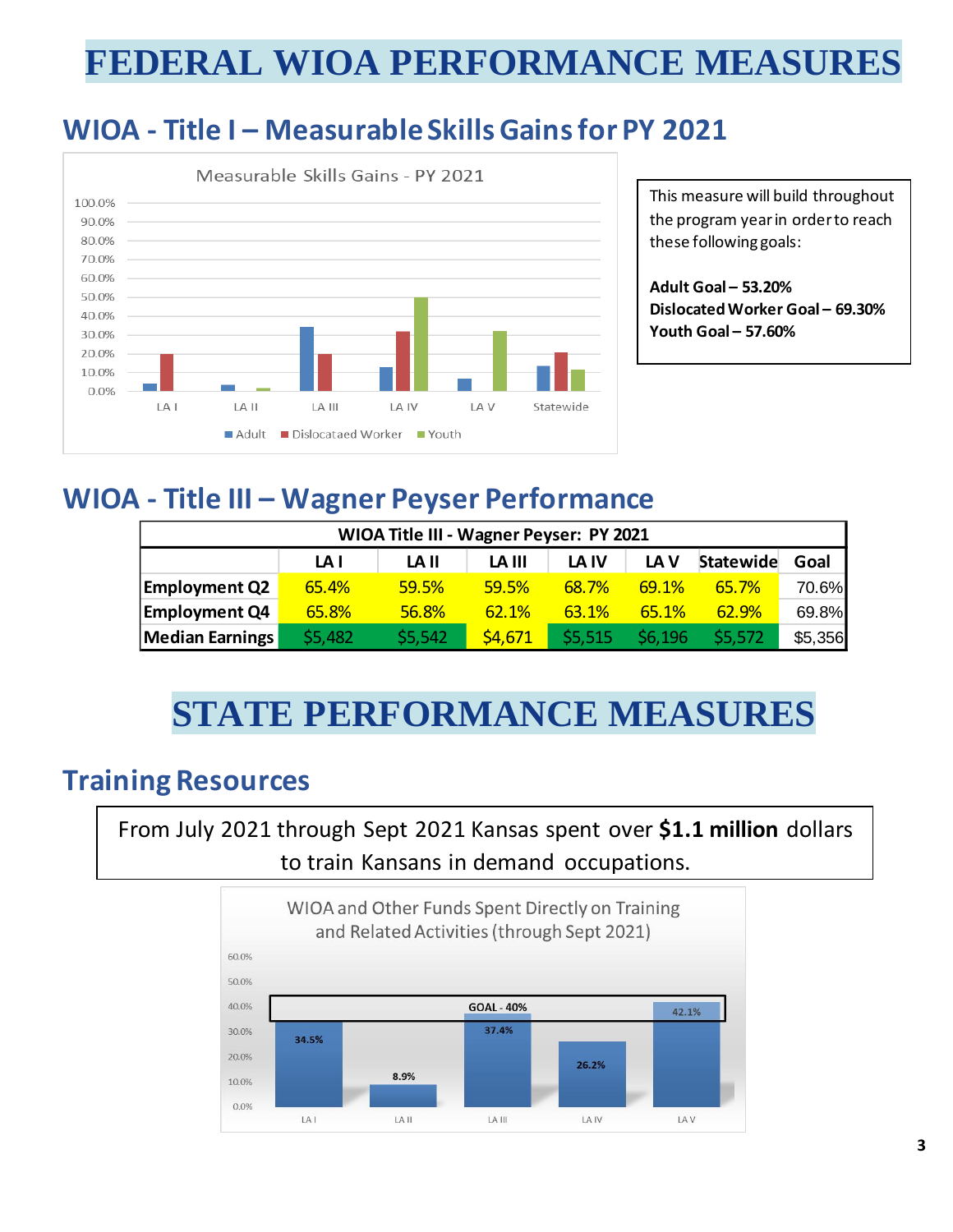# **FEDERAL WIOA PERFORMANCE MEASURES**

### **WIOA - Title I – Measurable Skills Gainsfor PY 2021**



This measure will build throughout the program year in order to reach these following goals:

**Adult Goal – 53.20% Dislocated Worker Goal – 69.30% Youth Goal – 57.60%**

### **WIOA - Title III – Wagner Peyser Performance**

| WIOA Title III - Wagner Peyser: PY 2021 |                                                               |         |              |         |         |         |         |  |  |  |  |  |
|-----------------------------------------|---------------------------------------------------------------|---------|--------------|---------|---------|---------|---------|--|--|--|--|--|
|                                         | Statewide<br>LA V<br>Goal<br>LA III<br>LA IV<br>LA II<br>LA I |         |              |         |         |         |         |  |  |  |  |  |
| <b>Employment Q2</b>                    | 65.4%                                                         | 59.5%   | 59.5%        | 68.7%   | 69.1%   | 65.7%   | 70.6%   |  |  |  |  |  |
| <b>Employment Q4</b>                    | 65.8%                                                         | 56.8%   | <b>62.1%</b> | 63.1%   | 65.1%   | 62.9%   | 69.8%   |  |  |  |  |  |
| Median Earnings                         | \$5,482                                                       | \$5,542 | \$4,671      | \$5,515 | \$6,196 | \$5,572 | \$5,356 |  |  |  |  |  |

# **STATE PERFORMANCE MEASURES**

### **Training Resources**

From July 2021 through Sept 2021 Kansas spent over **\$1.1 million** dollars to train Kansans in demand occupations.

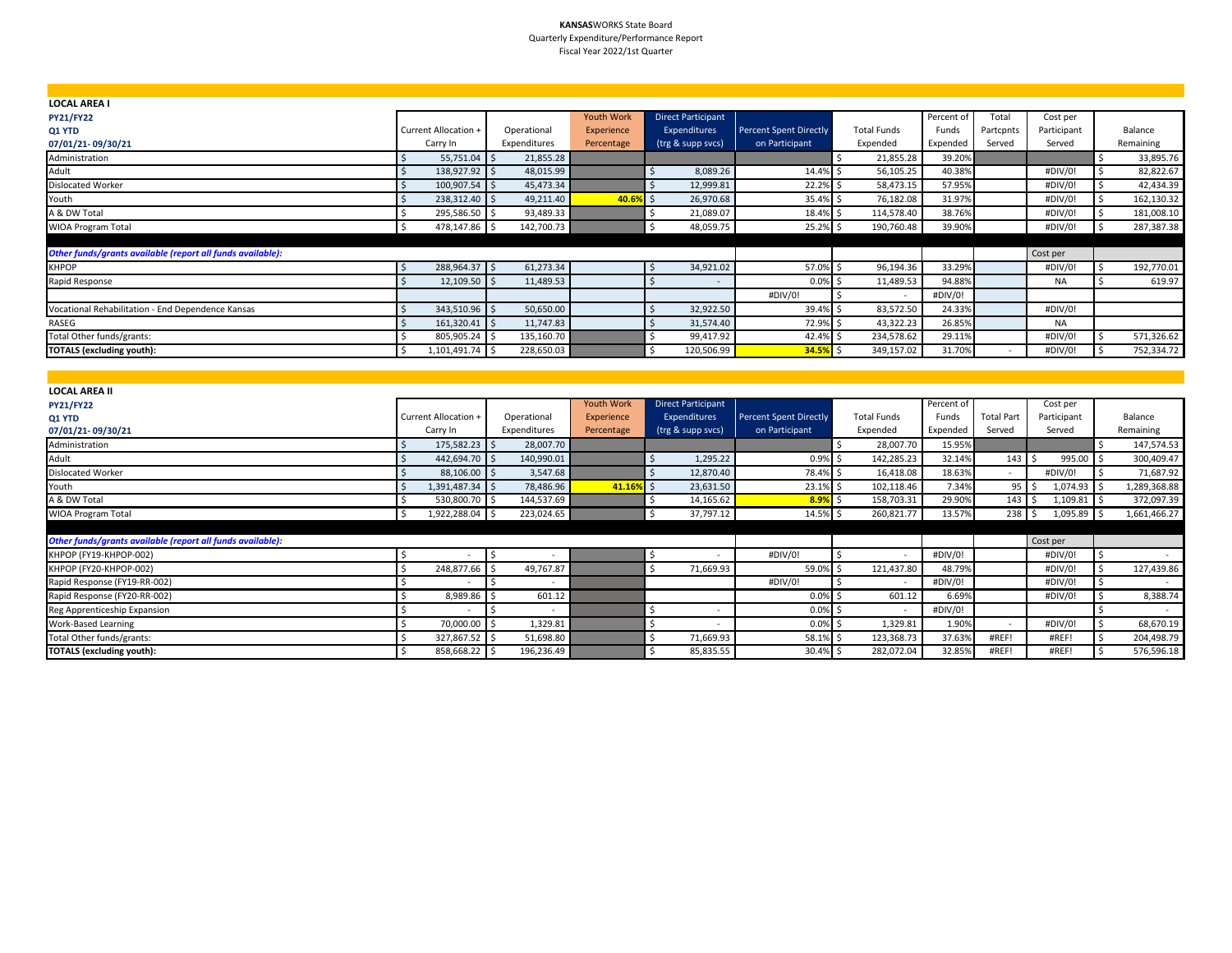#### **KANSAS**WORKS State Board Quarterly Expenditure/Performance Report Fiscal Year 2022/1st Quarter

| <b>LOCAL AREA I</b>                                        |                      |              |                   |                           |                               |                          |            |                          |             |            |  |
|------------------------------------------------------------|----------------------|--------------|-------------------|---------------------------|-------------------------------|--------------------------|------------|--------------------------|-------------|------------|--|
| <b>PY21/FY22</b>                                           |                      |              | <b>Youth Work</b> | <b>Direct Participant</b> |                               |                          | Percent of | Total                    | Cost per    |            |  |
| Q1 YTD                                                     | Current Allocation + | Operational  | Experience        | <b>Expenditures</b>       | <b>Percent Spent Directly</b> | <b>Total Funds</b>       | Funds      | Partcpnts                | Participant | Balance    |  |
| 07/01/21-09/30/21                                          | Carry In             | Expenditures | Percentage        | (trg & supp svcs)         | on Participant                | Expended                 | Expended   | Served                   | Served      | Remaining  |  |
| Administration                                             | $55,751.04$ \$       | 21,855.28    |                   |                           |                               | 21,855.28                | 39.20%     |                          |             | 33,895.76  |  |
| Adult                                                      | 138,927.92 \$        | 48,015.99    |                   | 8,089.26                  | 14.4% \$                      | 56,105.25                | 40.38%     |                          | #DIV/0!     | 82,822.67  |  |
| <b>Dislocated Worker</b>                                   | 100,907.54 \$        | 45,473.34    |                   | 12,999.81                 | 22.2% \$                      | 58,473.15                | 57.95%     |                          | #DIV/0!     | 42,434.39  |  |
| Youth                                                      | 238,312.40 \$        | 49,211.40    | 40.69             | 26,970.68<br>5I S         | 35.4% \$                      | 76,182.08                | 31.97%     |                          | #DIV/0!     | 162,130.32 |  |
| A & DW Total                                               | 295,586.50 \$        | 93,489.33    |                   | 21,089.07                 | 18.4% \$                      | 114,578.40               | 38.76%     |                          | #DIV/0!     | 181,008.10 |  |
| <b>WIOA Program Total</b>                                  | 478,147.86 \$        | 142,700.73   |                   | 48,059.75                 | 25.2% \$                      | 190,760.48               | 39.90%     |                          | #DIV/0!     | 287,387.38 |  |
|                                                            |                      |              |                   |                           |                               |                          |            |                          |             |            |  |
| Other funds/grants available (report all funds available): |                      |              |                   |                           |                               |                          |            |                          | Cost per    |            |  |
| <b>KHPOP</b>                                               | 288,964.37 \$        | 61,273.34    |                   | 34,921.02                 | 57.0% \$                      | 96,194.36                | 33.29%     |                          | #DIV/0!     | 192,770.01 |  |
| Rapid Response                                             | $12,109.50$ \$       | 11,489.53    |                   |                           | $0.0\%$ \$                    | 11,489.53                | 94.88%     |                          | <b>NA</b>   | 619.97     |  |
|                                                            |                      |              |                   |                           | #DIV/0!                       | $\overline{\phantom{a}}$ | #DIV/0!    |                          |             |            |  |
| Vocational Rehabilitation - End Dependence Kansas          | 343,510.96 \$        | 50,650.00    |                   | 32,922.50                 | 39.4%                         | 83,572.50                | 24.33%     |                          | #DIV/0!     |            |  |
| RASEG                                                      | $161,320.41$ \$      | 11,747.83    |                   | 31,574.40                 | 72.9% \$                      | 43,322.23                | 26.85%     |                          | <b>NA</b>   |            |  |
| Total Other funds/grants:                                  | 805,905.24 \$        | 135,160.70   |                   | 99,417.92                 | 42.4% \$                      | 234,578.62               | 29.11%     |                          | #DIV/0!     | 571,326.62 |  |
| <b>TOTALS (excluding youth):</b>                           | 1,101,491.74 \$      | 228,650.03   |                   | 120,506.99                | 34.5%                         | 349,157.02               | 31.70%     | $\overline{\phantom{0}}$ | #DIV/0!     | 752,334.72 |  |

| <b>LOCAL AREA II</b>                                       |                      |               |                   |                           |                               |                          |            |                          |             |              |
|------------------------------------------------------------|----------------------|---------------|-------------------|---------------------------|-------------------------------|--------------------------|------------|--------------------------|-------------|--------------|
| <b>PY21/FY22</b>                                           |                      |               | <b>Youth Work</b> | <b>Direct Participant</b> |                               |                          | Percent of |                          | Cost per    |              |
| Q1 YTD                                                     | Current Allocation + | Operational   | Experience        | <b>Expenditures</b>       | <b>Percent Spent Directly</b> | <b>Total Funds</b>       | Funds      | <b>Total Part</b>        | Participant | Balance      |
| 07/01/21-09/30/21                                          | Carry In             | Expenditures  | Percentage        | (trg & supp svcs)         | on Participant                | Expended                 | Expended   | Served                   | Served      | Remaining    |
| Administration                                             | 175,582.23 \$        | 28,007.70     |                   |                           |                               | 28,007.70                | 15.95%     |                          |             | 147,574.53   |
| Adult                                                      | 442,694.70 \$        | 140,990.01    |                   | 1,295.22                  | 0.9%                          | 142,285.23               | 32.14%     | $143 \quad$ \$           | 995.00 \$   | 300,409.47   |
| <b>Dislocated Worker</b>                                   | 88,106.00 \$         | 3,547.68      |                   | 12,870.40                 | 78.4%                         | 16,418.08                | 18.63%     | $\overline{\phantom{a}}$ | #DIV/0!     | 71,687.92    |
| Youth                                                      | 1,391,487.34 \$      | 78,486.96     | 41.16%            | 23,631.50                 | 23.1%                         | 102,118.46               | 7.34%      | $95$ $\frac{1}{5}$       | 1,074.93    | 1,289,368.88 |
| A & DW Total                                               | 530,800.70 \$        | 144,537.69    |                   | 14,165.62                 | 8.9%                          | 158,703.31               | 29.90%     | $143 \quad$              | 1,109.81    | 372,097.39   |
| WIOA Program Total                                         | 1,922,288.04 \$      | 223,024.65    |                   | 37,797.12                 | $14.5\%$ \$                   | 260,821.77               | 13.57%     | $238$ \$                 | 1,095.89    | 1,661,466.27 |
|                                                            |                      |               |                   |                           |                               |                          |            |                          |             |              |
| Other funds/grants available (report all funds available): |                      |               |                   |                           |                               |                          |            |                          | Cost per    |              |
| KHPOP (FY19-KHPOP-002)                                     |                      |               |                   |                           | #DIV/0!                       | $\overline{\phantom{a}}$ | #DIV/0!    |                          | #DIV/0!     |              |
| KHPOP (FY20-KHPOP-002)                                     | 248,877.66<br>5 I S  | 49,767.87     |                   | 71,669.93                 | 59.0%                         | 121,437.80               | 48.79%     |                          | #DIV/0!     | 127,439.86   |
| Rapid Response (FY19-RR-002)                               |                      | $\sim$        |                   |                           | #DIV/0!                       | $\overline{\phantom{a}}$ | #DIV/0!    |                          | #DIV/0!     |              |
| Rapid Response (FY20-RR-002)                               | 8,989.86 \$          | 601.12        |                   |                           | 0.0%                          | 601.12                   | 6.69%      |                          | #DIV/0!     | 8,388.74     |
| Reg Apprenticeship Expansion                               |                      | $\sim$<br>- 5 |                   | $\overline{\phantom{a}}$  | 0.0%                          | $\sim$                   | #DIV/0!    |                          |             |              |
| <b>Work-Based Learning</b>                                 | 70,000.00 \$         | 1,329.81      |                   |                           | 0.0%                          | 1,329.81                 | 1.90%      | $\overline{\phantom{a}}$ | #DIV/0!     | 68,670.19    |
| Total Other funds/grants:                                  | 327,867.52 \$        | 51,698.80     |                   | 71,669.93                 | 58.1%                         | 123,368.73               | 37.63%     | #REF!                    | #REF!       | 204,498.79   |
| <b>TOTALS (excluding youth):</b>                           | 858,668.22 \$        | 196,236.49    |                   | 85,835.55                 | 30.4%                         | 282,072.04               | 32.85%     | #REF!                    | #REF!       | 576,596.18   |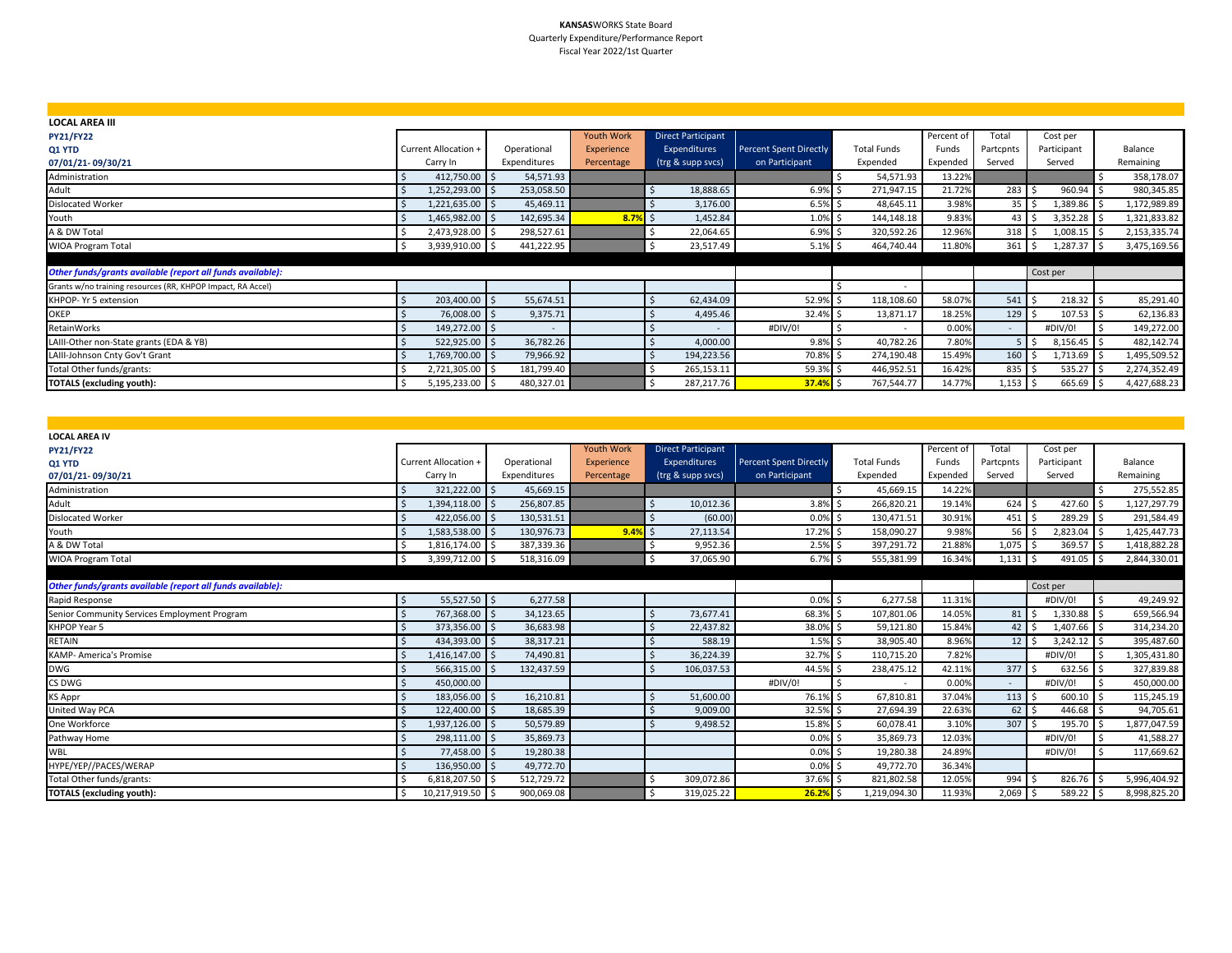#### **KANSAS**WORKS State Board Quarterly Expenditure/Performance Report Fiscal Year 2022/1st Quarter

| <b>LOCAL AREA III</b>                                       |                      |              |                   |                           |                               |                          |            |                  |                  |              |
|-------------------------------------------------------------|----------------------|--------------|-------------------|---------------------------|-------------------------------|--------------------------|------------|------------------|------------------|--------------|
| <b>PY21/FY22</b>                                            |                      |              | <b>Youth Work</b> | <b>Direct Participant</b> |                               |                          | Percent of | Total            | Cost per         |              |
| Q1 YTD                                                      | Current Allocation + | Operational  | Experience        | Expenditures              | <b>Percent Spent Directly</b> | <b>Total Funds</b>       | Funds      | Partcpnts        | Participant      | Balance      |
| 07/01/21-09/30/21                                           | Carry In             | Expenditures | Percentage        | (trg & supp svcs)         | on Participant                | Expended                 | Expended   | Served           | Served           | Remaining    |
| Administration                                              | 412,750.00 \$        | 54,571.93    |                   |                           |                               | 54,571.93                | 13.22%     |                  |                  | 358,178.07   |
| Adult                                                       | 1,252,293.00 \$      | 253,058.50   |                   | 18,888.65                 | $6.9%$ \$                     | 271,947.15               | 21.72%     | 283              | 960.94           | 980,345.85   |
| Dislocated Worker                                           | 1,221,635.00 \$      | 45,469.11    |                   | 3,176.00                  | $6.5%$ \$                     | 48,645.11                | 3.98%      | $35 \mid 5$      | 1,389.86         | 1,172,989.89 |
| Youth                                                       | 1,465,982.00 \$      | 142,695.34   | 8.7%              | 1,452.84<br>il s          | $1.0\%$ \$                    | 144,148.18               | 9.83%      | $43 \mid 5$      | 3,352.28         | 1,321,833.82 |
| A & DW Total                                                | 2,473,928.00 \$      | 298,527.61   |                   | 22,064.65                 | $6.9\%$ \$                    | 320,592.26               | 12.96%     | 318 <sup>5</sup> | 1,008.15         | 2,153,335.74 |
| <b>WIOA Program Total</b>                                   | 3,939,910.00 \$      | 441,222.95   |                   | 23,517.49                 | $5.1\%$ \$                    | 464,740.44               | 11.80%     | 361              | 1,287.37<br>LIS. | 3,475,169.56 |
|                                                             |                      |              |                   |                           |                               |                          |            |                  |                  |              |
| Other funds/grants available (report all funds available):  |                      |              |                   |                           |                               |                          |            |                  | Cost per         |              |
| Grants w/no training resources (RR, KHPOP Impact, RA Accel) |                      |              |                   |                           |                               | $\overline{\phantom{a}}$ |            |                  |                  |              |
| KHPOP- Yr 5 extension                                       | 203,400.00 \$        | 55,674.51    |                   | 62,434.09                 | 52.9% \$                      | 118,108.60               | 58.07%     | $541 \,$ \$      | 218.32           | 85,291.40    |
| <b>OKEP</b>                                                 | 76,008.00 \$         | 9,375.71     |                   | 4,495.46                  | 32.4% \$                      | 13,871.17                | 18.25%     | $129$ \$         | $107.53$ \$      | 62,136.83    |
| RetainWorks                                                 | 149,272.00 \$        | $\sim$       |                   |                           | #DIV/0!                       | $\sim$                   | 0.00%      | $\sim$           | #DIV/0!          | 149,272.00   |
| LAIII-Other non-State grants (EDA & YB)                     | 522,925.00 \$        | 36,782.26    |                   | 4,000.00                  | $9.8\%$ \$                    | 40,782.26                | 7.80%      | 5 <sup>15</sup>  | $8,156.45$ \$    | 482,142.74   |
| LAIII-Johnson Cnty Gov't Grant                              | 1,769,700.00 \$      | 79,966.92    |                   | 194,223.56                | 70.8% \$                      | 274,190.48               | 15.49%     | $160 \quad$ \$   | 1,713.69         | 1,495,509.52 |
| Total Other funds/grants:                                   | 2,721,305.00 \$      | 181,799.40   |                   | 265,153.11                | 59.3% \$                      | 446,952.51               | 16.42%     | $835$ \$         | 535.27           | 2,274,352.49 |
| <b>TOTALS (excluding youth):</b>                            | 5,195,233.00 \$      | 480,327.01   |                   | 287,217.76                | 37.4%                         | 767,544.77               | 14.77%     | $1,153$ \$       | 665.69           | 4,427,688.23 |

| <b>LOCAL AREA IV</b>                                       |                             |                  |                   |                           |                               |                          |            |                               |               |              |
|------------------------------------------------------------|-----------------------------|------------------|-------------------|---------------------------|-------------------------------|--------------------------|------------|-------------------------------|---------------|--------------|
| <b>PY21/FY22</b>                                           |                             |                  | <b>Youth Work</b> | <b>Direct Participant</b> |                               |                          | Percent of | Total                         | Cost per      |              |
| Q1 YTD                                                     | <b>Current Allocation +</b> | Operational      | Experience        | Expenditures              | <b>Percent Spent Directly</b> | <b>Total Funds</b>       | Funds      | Partcpnts                     | Participant   | Balance      |
| 07/01/21-09/30/21                                          | Carry In                    | Expenditures     | Percentage        | (trg & supp svcs)         | on Participant                | Expended                 | Expended   | Served                        | Served        | Remaining    |
| Administration                                             | 321,222.00 \$               | 45,669.15        |                   |                           |                               | 45,669.15                | 14.22%     |                               |               | 275,552.85   |
| Adult                                                      | 1,394,118.00 \$             | 256,807.85       |                   | 10.012.36                 | $3.8\%$ \$                    | 266,820.21               | 19.14%     | 624S                          | 427.60 \$     | 1,127,297.79 |
| <b>Dislocated Worker</b>                                   | 422,056.00 \$               | 130,531.51       |                   | (60.00)                   | 0.0%                          | 130,471.51               | 30.91%     | $451 \,$ \$                   | 289.29 \$     | 291,584.49   |
| Youth                                                      | 1,583,538.00 \$             | 130,976.73       | $9.4\%$ \$        | 27,113.54                 | 17.2%                         | 158,090.27               | 9.98%      | $56$ $\overline{\phantom{0}}$ | $2,823.04$ \$ | 1,425,447.73 |
| A & DW Total                                               | 1,816,174.00 \$             | 387,339.36       |                   | 9,952.36                  | $2.5%$ \$                     | 397,291.72               | 21.88%     | $1,075$ \$                    | 369.57 \$     | 1,418,882.28 |
| <b>WIOA Program Total</b>                                  | 3,399,712.00 \$<br>Ŝ.       | 518,316.09       |                   | 37,065.90<br>\$           | $6.7%$ \$                     | 555,381.99               | 16.34%     | $1,131$ \$                    | 491.05 \$     | 2,844,330.01 |
|                                                            |                             |                  |                   |                           |                               |                          |            |                               |               |              |
| Other funds/grants available (report all funds available): |                             |                  |                   |                           |                               |                          |            |                               | Cost per      |              |
| Rapid Response                                             | 55,527.50 \$                | 6,277.58         |                   |                           | 0.0%                          | 6,277.58                 | 11.31%     |                               | #DIV/0!       | 49,249.92    |
| Senior Community Services Employment Program               | 767,368.00 \$               | 34,123.65        |                   | 73.677.41                 | 68.3%                         | 107,801.06               | 14.05%     | $81 \,$ $\bar{5}$             | 1,330.88 \$   | 659,566.94   |
| KHPOP Year 5                                               | 373,356.00 \$               | 36,683.98        |                   | 22,437.82                 | 38.0%                         | 59,121.80                | 15.84%     | $42 \mid 5$                   | $1,407.66$ \$ | 314,234.20   |
| RETAIN                                                     | 434,393.00 \$               | 38,317.21        |                   | 588.19                    | $1.5%$ \$                     | 38,905.40                | 8.96%      | $12 \mid \zeta$               | $3,242.12$ \$ | 395,487.60   |
| <b>KAMP- America's Promise</b>                             | 1,416,147.00 \$             | 74,490.81        |                   | 36.224.39                 | 32.7%                         | 110,715.20               | 7.82%      |                               | #DIV/0!       | 1,305,431.80 |
| <b>DWG</b>                                                 | 566,315.00 \$               | 132,437.59       |                   | 106,037.53                | 44.5% \$                      | 238,475.12               | 42.11%     | $377$ $\frac{1}{3}$           | 632.56 \$     | 327,839.88   |
| CS DWG                                                     | 450,000.00                  |                  |                   |                           | #DIV/0!                       | $\overline{\phantom{a}}$ | 0.00%      | $\sim$                        | #DIV/0!       | 450,000.00   |
| <b>KS Appr</b>                                             | 183,056.00 \$               | 16,210.81        |                   | 51,600.00                 | 76.1%                         | 67,810.81                | 37.04%     | $113 \quad$                   | $600.10$ \$   | 115,245.19   |
| United Way PCA                                             | 122,400.00 \$               | 18,685.39        |                   | 9,009.00                  | 32.5% \$                      | 27,694.39                | 22.63%     | $62 \mid 5$                   | 446.68 \$     | 94,705.61    |
| One Workforce                                              | 1,937,126.00 \$             | 50,579.89        |                   | 9,498.52                  | 15.8%                         | 60,078.41                | 3.10%      | 307                           | 195.70 \$     | 1,877,047.59 |
| Pathway Home                                               | 298,111.00                  | l s<br>35,869.73 |                   |                           | 0.0%                          | 35,869.73                | 12.03%     |                               | #DIV/0!       | 41,588.27    |
| WBL                                                        | 77,458.00 \$                | 19,280.38        |                   |                           | 0.0%                          | 19,280.38                | 24.89%     |                               | #DIV/0!       | 117,669.62   |
| HYPE/YEP//PACES/WERAP                                      | 136,950.00 \$               | 49,772.70        |                   |                           | 0.0%                          | 49,772.70                | 36.34%     |                               |               |              |
| Total Other funds/grants:                                  | 6,818,207.50 \$             | 512,729.72       |                   | 309,072.86                | 37.6%                         | 821,802.58               | 12.05%     | 994                           | 826.76 \$     | 5,996,404.92 |
| <b>TOTALS (excluding youth):</b>                           | 10,217,919.50 \$            | 900,069.08       |                   | 319,025.22<br>-\$         | 26.2%                         | 1,219,094.30             | 11.93%     | $2,069$ \$                    | 589.22 \$     | 8,998,825.20 |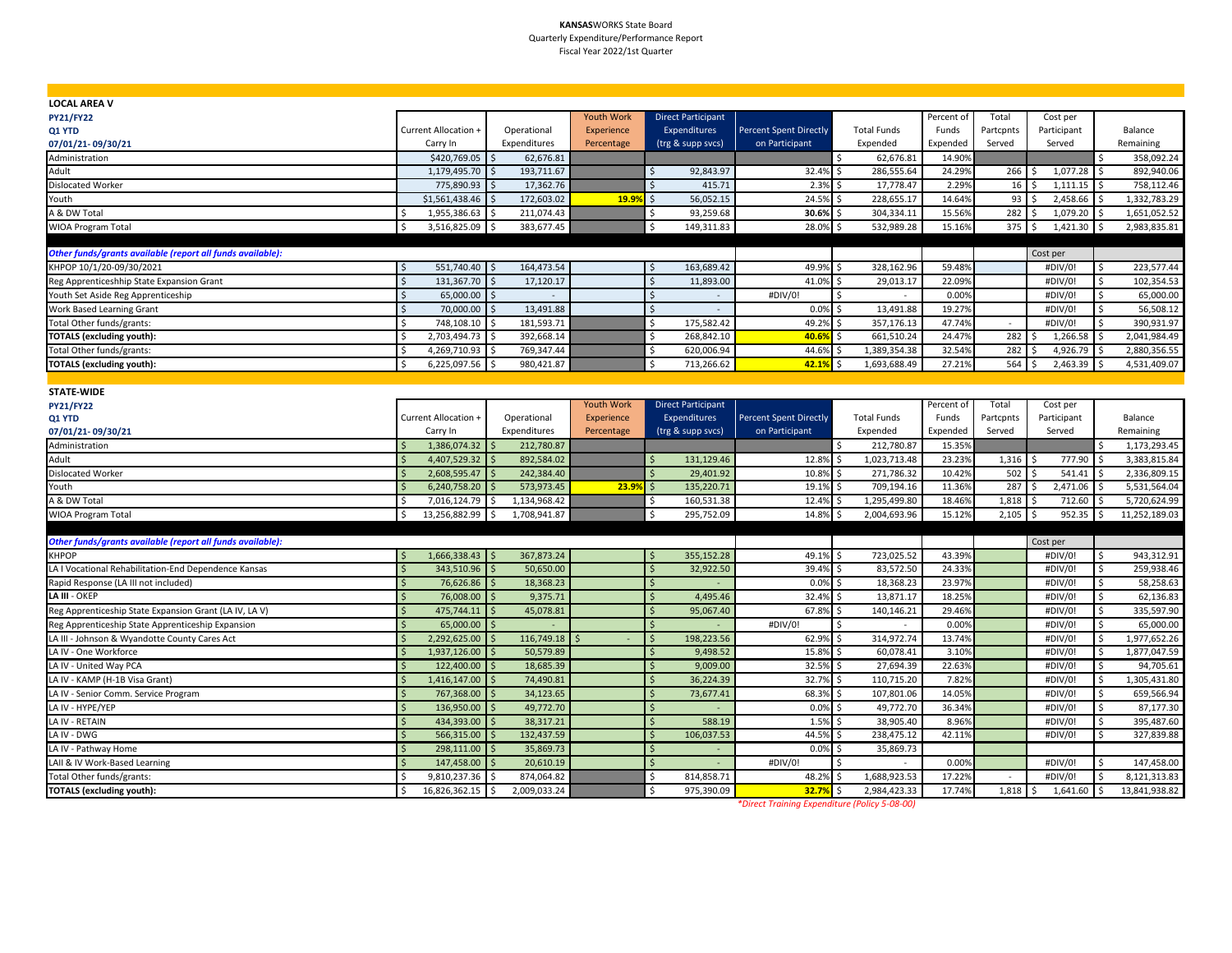#### **KANSAS**WORKS State Board Quarterly Expenditure/Performance Report Fiscal Year 2022/1st Quarter

| <b>LOCAL AREA V</b>                                        |                                     |                             |                   |                                  |                               |                             |            |           |                     |                            |
|------------------------------------------------------------|-------------------------------------|-----------------------------|-------------------|----------------------------------|-------------------------------|-----------------------------|------------|-----------|---------------------|----------------------------|
| <b>PY21/FY22</b>                                           |                                     |                             | <b>Youth Work</b> | <b>Direct Participant</b>        |                               |                             | Percent of | Total     | Cost per            |                            |
| Q1 YTD                                                     | Current Allocation +                | Operational                 | Experience        | Expenditures                     | <b>Percent Spent Directly</b> | <b>Total Funds</b>          | Funds      | Partcpnts | Participant         | Balance                    |
| 07/01/21-09/30/21                                          | Carry In                            | Expenditures                | Percentage        | (trg & supp svcs)                | on Participant                | Expended                    | Expended   | Served    | Served              | Remaining                  |
| Administration                                             | \$420,769.05                        | 62,676.81                   |                   |                                  |                               | \$<br>62,676.81             | 14.90%     |           |                     | 358,092.24                 |
| Adult                                                      | 1,179,495.70                        | 193,711.67                  |                   | 92,843.97                        | 32.4%                         | 286,555.64                  | 24.29%     | 266       | 1,077.28            | 892,940.06                 |
| <b>Dislocated Worker</b>                                   | 775,890.93                          | 17,362.76                   |                   | 415.71                           | 2.3%                          | 17,778.47                   | 2.299      | 16        | 1,111.15            | 758,112.46                 |
| Youth                                                      | \$1,561,438.46                      | 172,603.02                  | 19.99             | 56,052.15                        | 24.5%                         | 228,655.17                  | 14.64%     | 93        | 2,458.66            | 1,332,783.29<br>-Ś         |
| A & DW Total                                               | 1,955,386.63                        | 211.074.43                  |                   | Ś<br>93,259.68                   | 30.6%                         | 304,334.11                  | 15.569     | 282       | 1,079.20            | 1,651,052.52<br>١¢         |
| WIOA Program Total                                         | Ś<br>3,516,825.09                   | 383,677.45                  |                   | $\dot{\mathsf{s}}$<br>149,311.83 | 28.0%                         | 532,989.28                  | 15.16%     | 375       | 1,421.30            | 2,983,835.81<br>١ś         |
|                                                            |                                     |                             |                   |                                  |                               |                             |            |           |                     |                            |
| Other funds/grants available (report all funds available): |                                     |                             |                   |                                  |                               |                             |            |           | Cost per            |                            |
| KHPOP 10/1/20-09/30/2021                                   | 551,740.40 \$<br>-Ś                 | 164,473.54                  |                   | 163,689.42<br>-Ś                 | 49.9%                         | 328,162.96                  | 59.48%     |           | #DIV/0!             | $\mathsf{S}$<br>223,577.44 |
| Reg Apprenticeshhip State Expansion Grant                  | $\dot{\mathsf{S}}$<br>131,367.70 \$ | 17,120.17                   |                   | $\dot{\mathsf{s}}$<br>11,893.00  | 41.0%                         | \$<br>29,013.17             | 22.09%     |           | #DIV/0!             | $\mathsf{S}$<br>102,354.53 |
| Youth Set Aside Reg Apprenticeship                         | Ś<br>65,000.00 \$                   | $\mathcal{L}_{\mathcal{A}}$ |                   | -Ś<br>$\sim$                     | #DIV/0!                       | \$.<br>$\sim$               | 0.00%      |           | #DIV/0!             | \$<br>65,000.00            |
| Work Based Learning Grant                                  | 70,000.00 \$<br>Ŝ.                  | 13,491.88                   |                   | - Ś<br>$\sim$                    | 0.0%                          | 13,491.88<br>Ŝ.             | 19.27%     |           | #DIV/0!             | 56,508.12<br>Ŝ.            |
| Total Other funds/grants:                                  | <sub>\$</sub><br>748,108.10 \$      | 181,593.71                  |                   | Ś<br>175,582.42                  | 49.2%                         | 357,176.13<br><sup>\$</sup> | 47.74%     | $\sim$    | #DIV/0!             | 390,931.97<br>-Ś           |
| <b>TOTALS (excluding youth):</b>                           | 2,703,494.73 \$<br>Ś                | 392,668.14                  |                   | 268,842.10<br>Ś                  | 40.6%                         | \$<br>661,510.24            | 24.47%     | 282       | 1,266.58            | 2,041,984.49<br>l \$       |
| Total Other funds/grants:                                  | 4,269,710.93                        | 769,347.44<br>l \$          |                   | 620,006.94                       | 44.6%                         | 1,389,354.38                | 32.54%     | 282       | 4,926.79            | 2,880,356.55               |
| <b>TOTALS (excluding youth):</b>                           | 6,225,097.56 \$<br>Ŝ.               | 980,421.87                  |                   | 713,266.62<br>Ŝ.                 | 42.1%                         | 1,693,688.49<br>Ŝ.          | 27.21%     | 564       | 2,463.39<br>S.      | 4,531,409.07<br>l \$       |
|                                                            |                                     |                             |                   |                                  |                               |                             |            |           |                     |                            |
| <b>STATE-WIDE</b>                                          |                                     |                             |                   |                                  |                               |                             |            |           |                     |                            |
| <b>PY21/FY22</b>                                           |                                     |                             | <b>Youth Work</b> | <b>Direct Participant</b>        |                               |                             | Percent of | Total     | Cost per            |                            |
| Q1 YTD                                                     | Current Allocation +                | Operational                 | Experience        | Expenditures                     | <b>Percent Spent Directly</b> | <b>Total Funds</b>          | Funds      | Partcpnts | Participant         | Balance                    |
| 07/01/21-09/30/21                                          | Carry In                            | Expenditures                | Percentage        | (trg & supp svcs)                | on Participant                | Expended                    | Expended   | Served    | Served              | Remaining                  |
| Administration                                             | 1,386,074.32                        | 212,780.87                  |                   |                                  |                               | \$<br>212,780.87            | 15.359     |           |                     | 1,173,293.45<br>-Ś         |
| Adult                                                      | 4,407,529.32                        | 892,584.02                  |                   | 131,129.46                       | 12.8%                         | 1,023,713.48<br>\$          | 23.23%     | 1,316     | 777.90              | 3,383,815.84               |
| Dislocated Worker                                          | 2,608,595.47                        | 242,384.40                  |                   | 29,401.92                        | 10.8%                         | 271,786.32                  | 10.42%     | 502       | 541.41              | 2,336,809.15               |
| Youth                                                      | 6,240,758.20                        | 573,973.45                  | 23.99             | 135,220.71                       | 19.1%                         | 709,194.16<br>-S            | 11.36%     | 287       | 2,471.06            | 5,531,564.04               |
| A & DW Total                                               | Ś<br>7,016,124.79                   | 1,134,968.42<br>I \$        |                   | 160,531.38<br>Ś                  | 12.4%                         | 1,295,499.80                | 18.46%     | 1,818     | 712.60              | 5,720,624.99               |
| WIOA Program Total                                         | \$<br>13,256,882.99 \$              | 1,708,941.87                |                   | 295,752.09<br>Ś                  | 14.8%                         | 2,004,693.96<br>Ŝ.          | 15.12%     | 2,105     | 952.35<br>l\$       | l\$<br>11,252,189.03       |
|                                                            |                                     |                             |                   |                                  |                               |                             |            |           |                     |                            |
| Other funds/grants available (report all funds available): |                                     |                             |                   |                                  |                               |                             |            |           | Cost per            |                            |
| KHPOP                                                      | $1,666,338.43$ \$<br>-Ś             | 367,873.24                  |                   | 355,152.28<br>-Ś                 | 49.1%                         | 723,025.52                  | 43.39%     |           | #DIV/0!             | 943,312.91<br>-Ś           |
| LA I Vocational Rehabilitation-End Dependence Kansas       | $\mathsf{\dot{S}}$<br>343,510.96    | 50,650.00<br>S.             |                   | 32,922.50<br>Ŝ.                  | 39.4%                         | 83,572.50<br>Ŝ.             | 24.33%     |           | #DIV/0!             | l \$<br>259,938.46         |
| Rapid Response (LA III not included)                       | $\zeta$<br>76,626.86                | 18,368.23                   |                   | $\mathsf{S}$                     | 0.0%                          | <sup>\$</sup><br>18,368.23  | 23.97%     |           | #DIV/0!             | Ŝ.<br>58,258.63            |
| LA III - OKEP                                              | $\zeta$<br>76,008.00                | 9,375.71                    |                   | <b>S</b><br>4.495.46             | 32.4%                         | 13.871.17<br>$\zeta$        | 18.25%     |           | #DIV/0!             | Ŝ.<br>62.136.83            |
| Reg Apprenticeship State Expansion Grant (LA IV, LA V)     | 475,744.11 \$                       | 45,078.81                   |                   | 95,067.40<br>Ś                   | 67.8%                         | \$<br>140,146.21            | 29.46%     |           | #DIV/0!             | 335,597.90<br>Ŝ.           |
| Reg Apprenticeship State Apprenticeship Expansion          | 65,000.00 \$<br>Ś                   |                             |                   | Ś                                | #DIV/0!                       | \$<br>$\sim$                | 0.00%      |           | #DIV/0!             | 65,000.00<br>\$            |
| LA III - Johnson & Wyandotte County Cares Act              | 2,292,625.00 \$                     | 116,749.18                  |                   | 198,223.56<br>Ŝ                  | 62.9%                         | 314,972.74<br>\$            | 13.74%     |           | #DIV/0!             | 1,977,652.26<br>l \$       |
| LA IV - One Workforce                                      | Ś<br>1,937,126.00                   | 50,579.89                   |                   | 9,498.52                         | 15.8%                         | 60,078.41                   | 3.10%      |           | #DIV/0!             | 1,877,047.59               |
| LA IV - United Way PCA                                     | 122,400.00                          | 18,685.39                   |                   | 9,009.00                         | 32.5%                         | 27,694.39                   | 22.63%     |           | #DIV/0!             | 94,705.61<br>Ŝ.            |
| LA IV - KAMP (H-1B Visa Grant)                             | 1,416,147.00                        | 74,490.81                   |                   | Ŝ<br>36,224.39                   | 32.7%                         | 110,715.20                  | 7.82%      |           | #DIV/0!             | 1,305,431.80               |
| LA IV - Senior Comm. Service Program                       | 767,368.00                          | 34,123.65                   |                   | 73,677.41<br>Ŝ                   | 68.3%                         | 107,801.06<br>Ŝ.            | 14.05%     |           | #DIV/0!             | \$<br>659,566.94           |
| LA IV - HYPE/YEP                                           | 136,950.00                          | 49,772.70                   |                   | Ś                                | 0.0%                          | 49,772.70                   | 36.349     |           | #DIV/0!             | 87,177.30                  |
| LA IV - RETAIN                                             | 434,393.00                          | 38,317.21                   |                   | $\breve{\varsigma}$<br>588.19    | 1.5%                          | 38,905.40                   | 8.96%      |           | #DIV/0!             | Ŝ.<br>395,487.60           |
| LA IV - DWG                                                | Ś<br>566,315.00                     | 132,437.59                  |                   | 106,037.53                       | 44.5%                         | 238,475.12                  | 42.119     |           | #DIV/0!             | \$<br>327,839.88           |
| LA IV - Pathway Home                                       | 298,111.00                          | 35,869.73                   |                   | .S                               | 0.0%                          | 35,869.73<br>Ŝ              |            |           |                     |                            |
| LAII & IV Work-Based Learning                              | 147,458.00                          | 20,610.19                   |                   |                                  | #DIV/0!                       |                             | 0.00%      |           | #DIV/0!             | 147,458.00                 |
| Total Other funds/grants:                                  | 9,810,237.36                        | 874,064.82                  |                   | 814,858.71<br>Ś                  | 48.2%                         | 1,688,923.53                | 17.22%     | $\sim$    | #DIV/0!             | 8,121,313.83<br>Ś,         |
| <b>TOTALS (excluding youth):</b>                           | Ŝ.<br>16,826,362.15 \$              | 2,009,033.24                |                   | Ŝ.<br>975,390.09                 | 32.7%                         | 2,984,423.33<br>Ŝ.          | 17.74%     | 1,818     | $1,641.60$ \$<br>S. | 13,841,938.82              |

*\*Direct Training Expenditure (Policy 5-08-00)*